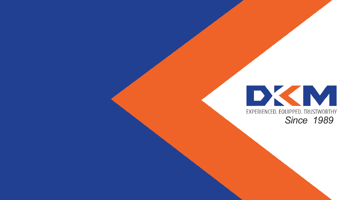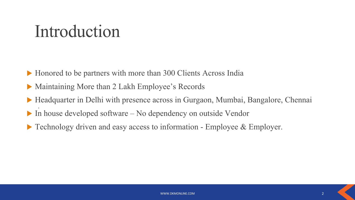## Introduction

▶ Honored to be partners with more than 300 Clients Across India

- Maintaining More than 2 Lakh Employee's Records
- . ▶ Headquarter in Delhi with presence across in Gurgaon, Mumbai, Bangalore, Chennai
- In house developed software No dependency on outside Vendor
- ▶ Technology driven and easy access to information Employee & Employer.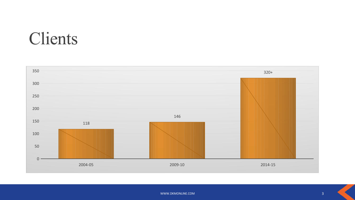## Clients

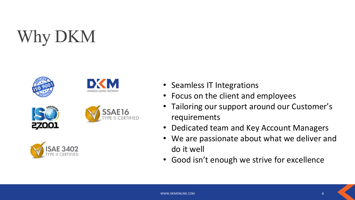# Why DKM











- Seamless IT Integrations
- Focus on the client and employees
- Tailoring our support around our Customer's requirements
- Dedicated team and Key Account Managers
- We are passionate about what we deliver and do it well
- Good isn't enough we strive for excellence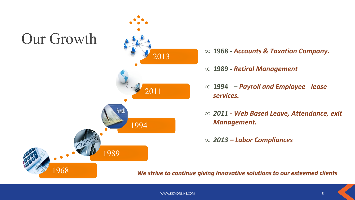## Our Growth

1968



∞ **1968 -** *Accounts & Taxation Company.*

- ∞ **1989** *Retiral Management*
- ∞ **1994** *Payroll and Employee lease services.*
- ∞ *2011 Web Based Leave, Attendance, exit Management.*
- ∞ *2013 Labor Compliances*

*We strive to continue giving Innovative solutions to our esteemed clients*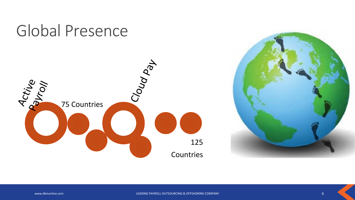

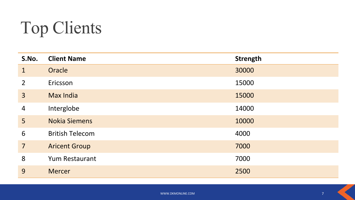# Top Clients

| S.No.          | <b>Client Name</b>     | <b>Strength</b> |
|----------------|------------------------|-----------------|
| $\mathbf{1}$   | Oracle                 | 30000           |
| $\overline{2}$ | Ericsson               | 15000           |
| $\overline{3}$ | <b>Max India</b>       | 15000           |
| $\overline{4}$ | Interglobe             | 14000           |
| 5              | <b>Nokia Siemens</b>   | 10000           |
| 6              | <b>British Telecom</b> | 4000            |
| $\overline{7}$ | <b>Aricent Group</b>   | 7000            |
| 8              | <b>Yum Restaurant</b>  | 7000            |
| 9              | <b>Mercer</b>          | 2500            |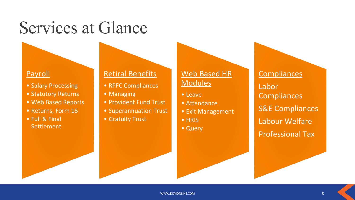## Services at Glance

### **Payroll**

- Salary Processing
- Statutory Returns
- Web Based Reports
- Returns, Form 16
- Full & Final **Settlement**

### Retiral Benefits

- RPFC Compliances
- Managing
- Provident Fund Trust
- Superannuation Trust
- Gratuity Trust

### Web Based HR **Modules**

- Leave
- Attendance
- Exit Management
- HRIS
- Query

**Compliances** Labor **Compliances** S&E Compliances Labour Welfare Professional Tax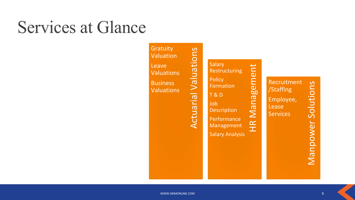## Services at Glance

**Gratuity** Valuation Leave Valuations **Business Valuations** 

NET THE SPACE OF CHECK WARD AND RECORD CONDITIONS WARRAND MANAGED AND CONDUCT ON THE SALARY Analysis The Services of Management Management Management Management Management Management Solutions (Services Services Solutions Salary Restructuring **Policy** Formation T & D Job **Description Performance** Management Salary Analysis

Recruitment /Staffing Employee, Lease **Services**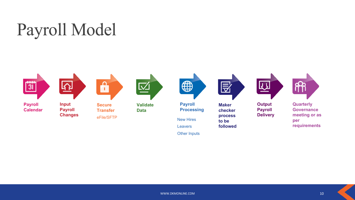



Leavers

Other Inputs

**followed**

**requirements**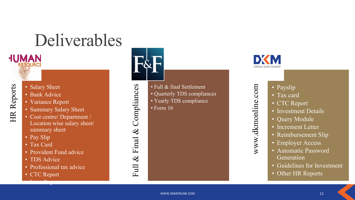# Deliverables



**HUMAN** 

HR Reports

- Bank Advice
- Variance Report
- Summary Salary Sheet
- Cost centre/ Department / Location wise salary sheet/ summary sheet
- Pay Slip
- Tax Card
- Provident Fund advice
- TDS Advice
- Professional tax advice
- CTC Report

 $\begin{array}{ccc} \n\bullet & \bullet & \bullet & \bullet & \bullet \ \n\hline\n\bullet & \bullet & \bullet & \bullet & \bullet\n\end{array}$ 



Full & Final & Compliances

Full & Final &

Compliances

- Full & final Settlement
- Quarterly TDS compliances
- Yearly TDS compliance
- Form 16



www.dkmonline.com

www.dkmonline.com

- Payslip
- Tax card
- CTC Report
- Investment Details
- Query Module
- Increment Letter
- Reimbursement Slip
- Employer Access
- Automatic Password Generation
- Guidelines for Investment
- Other HR Reports
- www.dkmonline.com **11**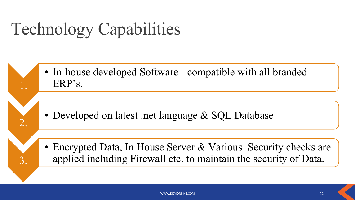# Technology Capabilities

1.

2.

3.

• In-house developed Software - compatible with all branded ERP's.

- Developed on latest .net language & SQL Database
- Encrypted Data, In House Server & Various Security checks are applied including Firewall etc. to maintain the security of Data.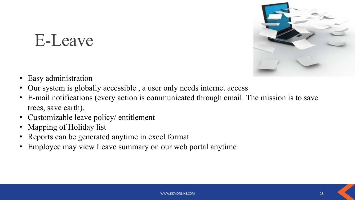## E-Leave



- Easy administration
- Our system is globally accessible , a user only needs internet access
- E-mail notifications (every action is communicated through email. The mission is to save trees, save earth).
- Customizable leave policy/ entitlement
- Mapping of Holiday list
- Reports can be generated anytime in excel format
- Employee may view Leave summary on our web portal anytime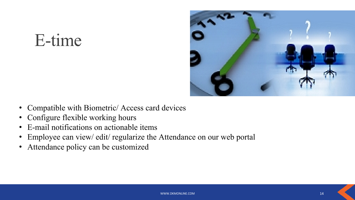## E-time



- Compatible with Biometric/ Access card devices
- Configure flexible working hours
- E-mail notifications on actionable items
- Employee can view/ edit/ regularize the Attendance on our web portal
- Attendance policy can be customized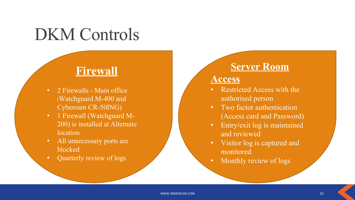## DKM Controls

### **Firewall**

- 2 Firewalls Main office (Watchguard M-400 and Cyberoam CR-50ING)
- 1 Firewall (Watchguard M-200) is installed at Alternate location
- All unnecessary ports are blocked
- Quarterly review of logs

### **Server Room**

### **Access**

- Restricted Access with the authorised person
- Two factor authentication (Access card and Password)
- Entry/exit log is maintained and reviewed
- Visitor log is captured and monitored
- Monthly review of logs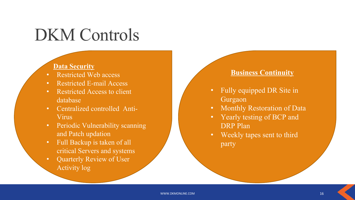## DKM Controls

### **Data Security**

- Restricted Web access
- Restricted E-mail Access
- Restricted Access to client database
- Centralized controlled Anti-Virus
- Periodic Vulnerability scanning and Patch updation
- Full Backup is taken of all critical Servers and systems
- Quarterly Review of User Activity log

### **Business Continuity**

- Fully equipped DR Site in Gurgaon
- Monthly Restoration of Data
- Yearly testing of BCP and DRP Plan
- Weekly tapes sent to third party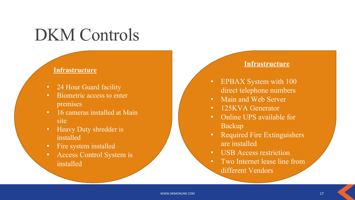## DKM Controls

#### **Infrastructure**

- 24 Hour Guard facility
- Biometric access to enter premises
- 16 cameras installed at Main site
- Heavy Duty shredder is installed
- Fire system installed
- Access Control System is installed

### **Infrastructure**

- EPBAX System with 100 direct telephone numbers
- Main and Web Server
- 125KVA Generator
- Online UPS available for Backup
- Required Fire Extinguishers are installed
- USB Access restriction
- Two Internet lease line from different Vendors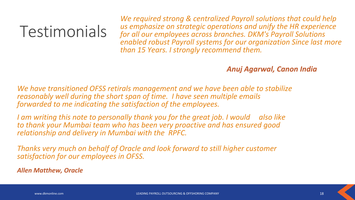## Testimonials

*We required strong & centralized Payroll solutions that could help us emphasize on strategic operations and unify the HR experience for all our employees across branches. DKM's Payroll Solutions enabled robust Payroll systems for our organization Since last more than 15 Years. I strongly recommend them.*

### *Anuj Agarwal, Canon India*

*We have transitioned OFSS retirals management and we have been able to stabilize reasonably well during the short span of time. I have seen multiple emails forwarded to me indicating the satisfaction of the employees.* 

*I am writing this note to personally thank you for the great job. I would also like to thank your Mumbai team who has been very proactive and has ensured good relationship and delivery in Mumbai with the RPFC.*

*Thanks very much on behalf of Oracle and look forward to still higher customer satisfaction for our employees in OFSS.*

*Allen Matthew, Oracle*